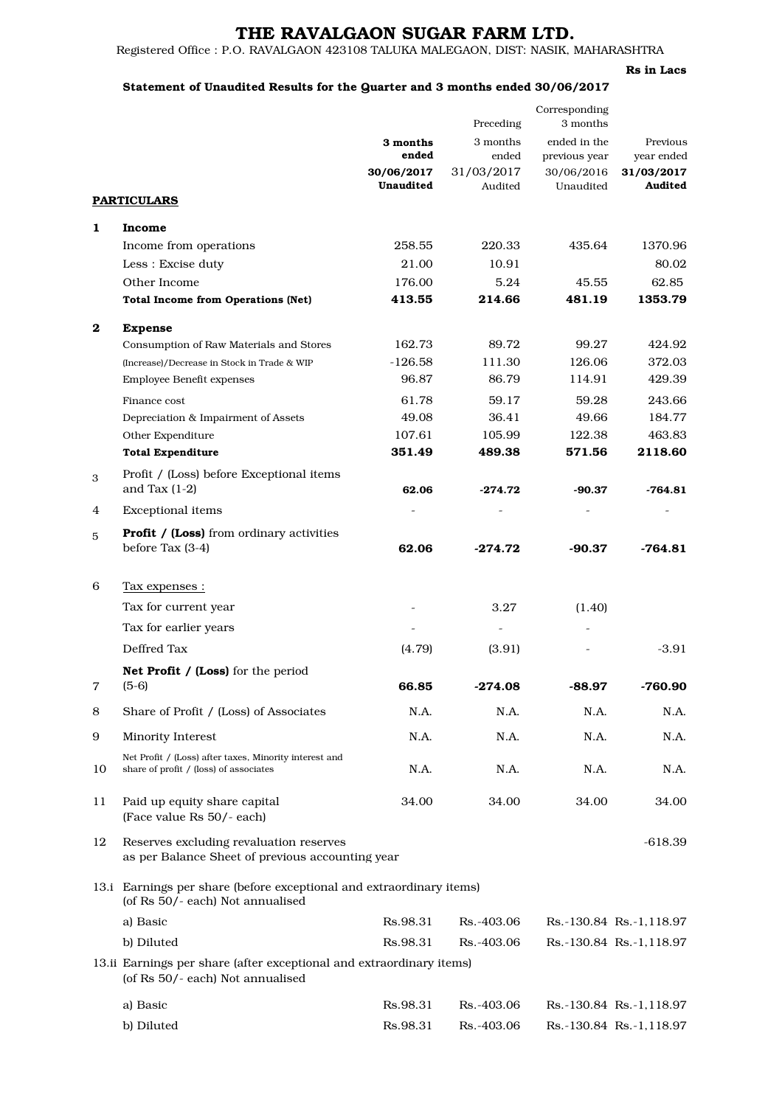# THE RAVALGAON SUGAR FARM LTD.

Registered Office : P.O. RAVALGAON 423108 TALUKA MALEGAON, DIST: NASIK, MAHARASHTRA

### Rs in Lacs

### Statement of Unaudited Results for the Quarter and 3 months ended 30/06/2017

|          |                                                                                                          |                         | Preceding             | Corresponding<br>3 months |                         |
|----------|----------------------------------------------------------------------------------------------------------|-------------------------|-----------------------|---------------------------|-------------------------|
|          |                                                                                                          | 3 months                | 3 months              | ended in the              | Previous                |
|          |                                                                                                          | ended                   | ended                 | previous year             | year ended              |
|          |                                                                                                          | 30/06/2017<br>Unaudited | 31/03/2017<br>Audited | 30/06/2016<br>Unaudited   | 31/03/2017<br>Audited   |
|          | <b>PARTICULARS</b>                                                                                       |                         |                       |                           |                         |
| 1        | <b>Income</b>                                                                                            |                         |                       |                           |                         |
|          | Income from operations                                                                                   | 258.55                  | 220.33                | 435.64                    | 1370.96                 |
|          | Less : Excise duty                                                                                       | 21.00                   | 10.91                 |                           | 80.02                   |
|          | Other Income                                                                                             | 176.00                  | 5.24                  | 45.55                     | 62.85                   |
|          | <b>Total Income from Operations (Net)</b>                                                                | 413.55                  | 214.66                | 481.19                    | 1353.79                 |
| $\bf{2}$ | <b>Expense</b>                                                                                           |                         |                       |                           |                         |
|          | Consumption of Raw Materials and Stores                                                                  | 162.73                  | 89.72                 | 99.27                     | 424.92                  |
|          | (Increase)/Decrease in Stock in Trade & WIP                                                              | $-126.58$               | 111.30                | 126.06                    | 372.03                  |
|          | <b>Employee Benefit expenses</b>                                                                         | 96.87                   | 86.79                 | 114.91                    | 429.39                  |
|          | Finance cost                                                                                             | 61.78                   | 59.17                 | 59.28                     | 243.66                  |
|          | Depreciation & Impairment of Assets                                                                      | 49.08                   | 36.41                 | 49.66                     | 184.77                  |
|          | Other Expenditure                                                                                        | 107.61                  | 105.99                | 122.38                    | 463.83                  |
|          | <b>Total Expenditure</b>                                                                                 | 351.49                  | 489.38                | 571.56                    | 2118.60                 |
| 3        | Profit / (Loss) before Exceptional items<br>and Tax $(1-2)$                                              | 62.06                   | $-274.72$             | $-90.37$                  | -764.81                 |
| 4        | <b>Exceptional items</b>                                                                                 |                         |                       |                           |                         |
| 5        | <b>Profit / (Loss)</b> from ordinary activities                                                          |                         |                       |                           |                         |
|          | before Tax (3-4)                                                                                         | 62.06                   | $-274.72$             | $-90.37$                  | $-764.81$               |
| 6        | <u>Tax expenses :</u>                                                                                    |                         |                       |                           |                         |
|          | Tax for current year                                                                                     |                         | 3.27                  | (1.40)                    |                         |
|          | Tax for earlier years                                                                                    |                         |                       |                           |                         |
|          | Deffred Tax                                                                                              | (4.79)                  | (3.91)                |                           | $-3.91$                 |
|          | <b>Net Profit / (Loss)</b> for the period                                                                |                         |                       |                           |                         |
| 7        | $(5-6)$                                                                                                  | 66.85                   | $-274.08$             | $-88.97$                  | -760.90                 |
| 8        | Share of Profit / (Loss) of Associates                                                                   | N.A.                    | N.A.                  | N.A.                      | N.A.                    |
| 9        | Minority Interest                                                                                        | N.A.                    | N.A.                  | N.A.                      | N.A.                    |
|          | Net Profit / (Loss) after taxes, Minority interest and                                                   |                         |                       |                           |                         |
| 10       | share of profit / (loss) of associates                                                                   | N.A.                    | N.A.                  | N.A.                      | N.A.                    |
| 11       | Paid up equity share capital<br>(Face value Rs 50/- each)                                                | 34.00                   | 34.00                 | 34.00                     | 34.00                   |
| 12       | Reserves excluding revaluation reserves<br>as per Balance Sheet of previous accounting year              |                         |                       |                           | -618.39                 |
|          | 13.i Earnings per share (before exceptional and extraordinary items)<br>(of Rs 50/- each) Not annualised |                         |                       |                           |                         |
|          | a) Basic                                                                                                 | Rs.98.31                | Rs.-403.06            |                           | Rs.-130.84 Rs.-1,118.97 |
|          | b) Diluted                                                                                               | Rs.98.31                | Rs.-403.06            |                           | Rs.-130.84 Rs.-1,118.97 |
|          | 13.ii Earnings per share (after exceptional and extraordinary items)<br>(of Rs 50/- each) Not annualised |                         |                       |                           |                         |
|          |                                                                                                          |                         |                       |                           |                         |
|          | a) Basic                                                                                                 | Rs.98.31                | Rs.-403.06            |                           | Rs.-130.84 Rs.-1,118.97 |
|          | b) Diluted                                                                                               | Rs.98.31                | Rs.-403.06            |                           | Rs.-130.84 Rs.-1,118.97 |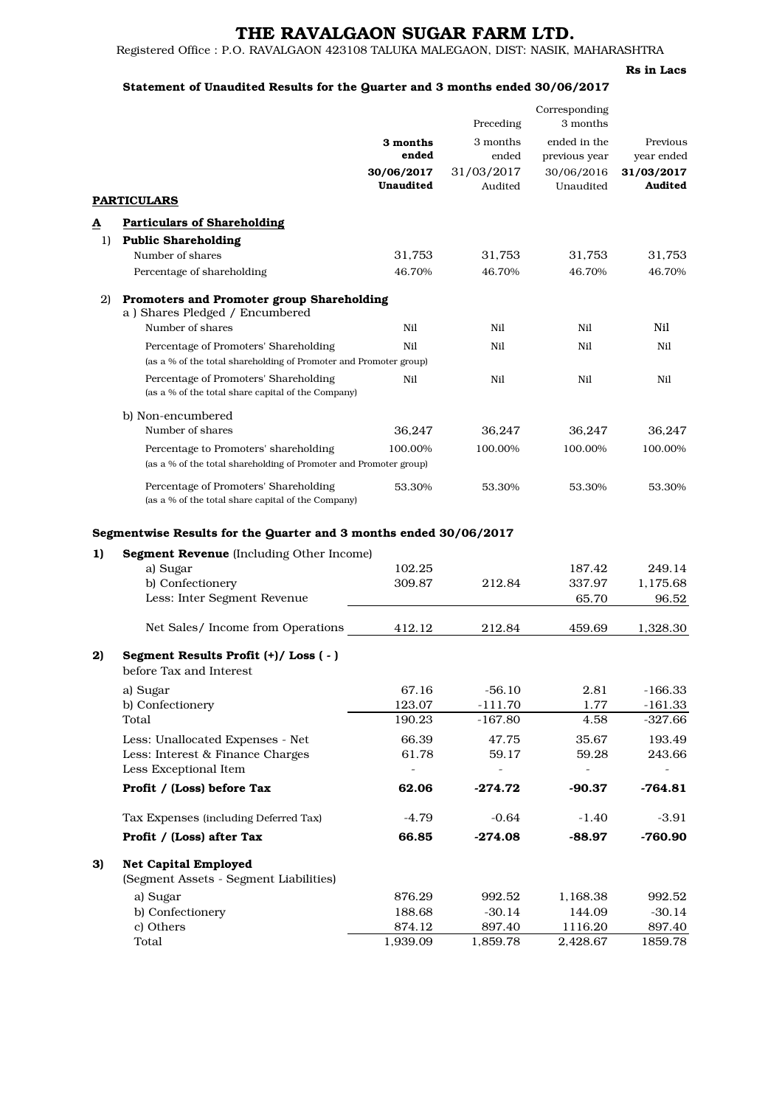# THE RAVALGAON SUGAR FARM LTD.

Registered Office : P.O. RAVALGAON 423108 TALUKA MALEGAON, DIST: NASIK, MAHARASHTRA

### Rs in Lacs

## Statement of Unaudited Results for the Quarter and 3 months ended 30/06/2017

|    |                                                                                                                                                                                     |                   | Preceding         | Corresponding<br>3 months     |                             |
|----|-------------------------------------------------------------------------------------------------------------------------------------------------------------------------------------|-------------------|-------------------|-------------------------------|-----------------------------|
|    |                                                                                                                                                                                     | 3 months<br>ended | 3 months<br>ended | ended in the<br>previous year | Previous<br>year ended      |
|    |                                                                                                                                                                                     | 30/06/2017        | 31/03/2017        | 30/06/2016                    | 31/03/2017                  |
|    |                                                                                                                                                                                     | <b>Unaudited</b>  | Audited           | Unaudited                     | Audited                     |
|    | <b>PARTICULARS</b>                                                                                                                                                                  |                   |                   |                               |                             |
| ≜  | <b>Particulars of Shareholding</b>                                                                                                                                                  |                   |                   |                               |                             |
| 1) | <b>Public Shareholding</b>                                                                                                                                                          |                   |                   |                               |                             |
|    | Number of shares                                                                                                                                                                    | 31,753            | 31,753            | 31,753                        | 31,753                      |
|    | Percentage of shareholding                                                                                                                                                          | 46.70%            | 46.70%            | 46.70%                        | 46.70%                      |
| 2) | Promoters and Promoter group Shareholding<br>a) Shares Pledged / Encumbered                                                                                                         |                   |                   |                               |                             |
|    | Number of shares                                                                                                                                                                    | Nil               | Nil               | Nil                           | Nil                         |
|    | Percentage of Promoters' Shareholding                                                                                                                                               | Nil               | Nil               | Nil                           | Nil                         |
|    | (as a % of the total shareholding of Promoter and Promoter group)                                                                                                                   |                   |                   |                               |                             |
|    | Percentage of Promoters' Shareholding<br>(as a % of the total share capital of the Company)                                                                                         | Nil               | Nil               | Nil                           | Nil                         |
|    | b) Non-encumbered<br>Number of shares                                                                                                                                               | 36,247            | 36,247            | 36,247                        | 36,247                      |
|    | Percentage to Promoters' shareholding                                                                                                                                               | 100.00%           | 100.00%           | 100.00%                       | 100.00%                     |
|    | (as a % of the total shareholding of Promoter and Promoter group)                                                                                                                   |                   |                   |                               |                             |
|    | Percentage of Promoters' Shareholding<br>(as a % of the total share capital of the Company)                                                                                         | 53.30%            | 53.30%            | 53.30%                        | 53.30%                      |
| 1) | Segmentwise Results for the Quarter and 3 months ended 30/06/2017<br><b>Segment Revenue</b> (Including Other Income)<br>a) Sugar<br>b) Confectionery<br>Less: Inter Segment Revenue | 102.25<br>309.87  | 212.84            | 187.42<br>337.97<br>65.70     | 249.14<br>1,175.68<br>96.52 |
|    | Net Sales/ Income from Operations                                                                                                                                                   | 412.12            | 212.84            | 459.69                        | 1,328.30                    |
| 2) | Segment Results Profit (+)/ Loss (-)                                                                                                                                                |                   |                   |                               |                             |
|    | before Tax and Interest                                                                                                                                                             |                   |                   |                               |                             |
|    | a) Sugar                                                                                                                                                                            | 67.16             | $-56.10$          | 2.81                          | -166.33                     |
|    | b) Confectionery                                                                                                                                                                    | 123.07            | $-111.70$         | 1.77                          | $-161.33$                   |
|    | Total                                                                                                                                                                               | 190.23            | $-167.80$         | 4.58                          | $-327.66$                   |
|    | Less: Unallocated Expenses - Net                                                                                                                                                    | 66.39             | 47.75             | 35.67                         | 193.49                      |
|    | Less: Interest & Finance Charges<br>Less Exceptional Item                                                                                                                           | 61.78             | 59.17             | 59.28                         | 243.66                      |
|    | Profit / (Loss) before Tax                                                                                                                                                          | 62.06             | $-274.72$         | $-90.37$                      | $-764.81$                   |
|    | Tax Expenses (including Deferred Tax)                                                                                                                                               | $-4.79$           | $-0.64$           | -1.40                         | $-3.91$                     |
|    | Profit / (Loss) after Tax                                                                                                                                                           | 66.85             | $-274.08$         | $-88.97$                      | $-760.90$                   |
| 3) | <b>Net Capital Employed</b><br>(Segment Assets - Segment Liabilities)                                                                                                               |                   |                   |                               |                             |
|    | a) Sugar                                                                                                                                                                            | 876.29            | 992.52            | 1,168.38                      | 992.52                      |
|    | b) Confectionery                                                                                                                                                                    | 188.68            | $-30.14$          | 144.09                        | $-30.14$                    |
|    | c) Others                                                                                                                                                                           | 874.12            | 897.40            | 1116.20                       | 897.40                      |
|    | Total                                                                                                                                                                               | 1,939.09          | 1,859.78          | 2,428.67                      | 1859.78                     |